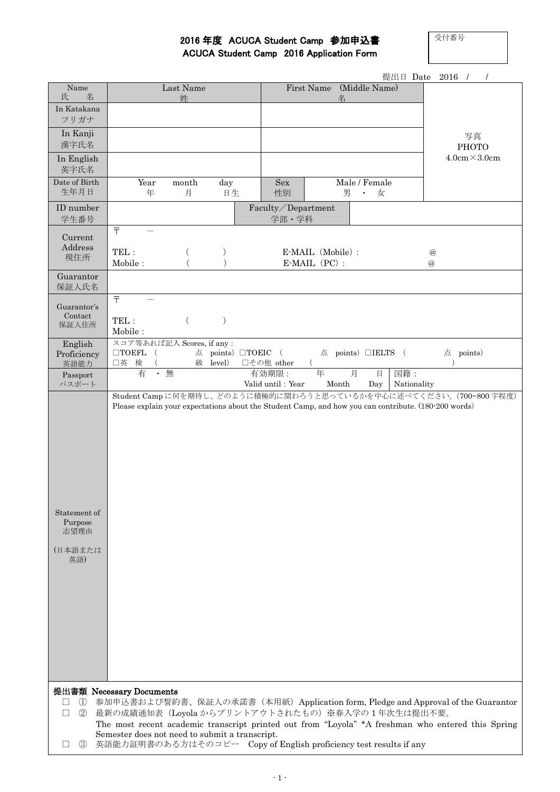受付番号

## 2016 年度 ACUCA Student Camp 参加申込書

|  | <b>ACUCA Student Camp 2016 Application Form</b> |
|--|-------------------------------------------------|
|--|-------------------------------------------------|

|                                                   |                                                                   |                |                                |                    |                               |                    | 提出日 Date 2016 /<br>$\prime$                                                                          |
|---------------------------------------------------|-------------------------------------------------------------------|----------------|--------------------------------|--------------------|-------------------------------|--------------------|------------------------------------------------------------------------------------------------------|
| Name<br>氏<br>名                                    |                                                                   | Last Name<br>姓 |                                |                    | First Name                    | (Middle Name)      |                                                                                                      |
| In Katakana                                       |                                                                   |                |                                |                    | 名                             |                    |                                                                                                      |
| フリガナ                                              |                                                                   |                |                                |                    |                               |                    |                                                                                                      |
| In Kanji                                          |                                                                   |                |                                |                    |                               |                    | 写真                                                                                                   |
| 漢字氏名                                              |                                                                   |                |                                |                    |                               |                    | PHOTO                                                                                                |
| In English<br>英字氏名                                |                                                                   |                |                                |                    |                               |                    | $4.0cm \times 3.0cm$                                                                                 |
| Date of Birth                                     | Year                                                              | month          | day                            | Sex                |                               | Male / Female      |                                                                                                      |
| 生年月日                                              | 年                                                                 | 月              | 日生                             | 性別                 | 男                             | 女<br>$\bullet$ .   |                                                                                                      |
| ID number                                         |                                                                   |                |                                | Faculty/Department |                               |                    |                                                                                                      |
| 学生番号                                              | $\overline{\top}$                                                 |                |                                | 学部·学科              |                               |                    |                                                                                                      |
| Current                                           |                                                                   |                |                                |                    |                               |                    |                                                                                                      |
| Address<br>現住所                                    | TEL:                                                              | $\left($       |                                |                    | E-MAIL (Mobile) :             |                    | $^{\circledR}$                                                                                       |
|                                                   | Mobile:                                                           |                |                                |                    | $E\text{-}{\bf MAL}$ $(PC)$ : |                    | $\omega$                                                                                             |
| Guarantor<br>保証人氏名                                |                                                                   |                |                                |                    |                               |                    |                                                                                                      |
|                                                   | $\overline{\top}$                                                 |                |                                |                    |                               |                    |                                                                                                      |
| Guarantor's<br>Contact                            | TEL:                                                              |                | )                              |                    |                               |                    |                                                                                                      |
| 保証人住所                                             | $\text{Mobile}$ :                                                 | $\left($       |                                |                    |                               |                    |                                                                                                      |
| English                                           | スコア等あれば記入 Scores, if any:                                         |                |                                |                    |                               |                    |                                                                                                      |
| Proficiency<br>英語能力                               | $\Box$ TOEFL (<br>口英 検                                            |                | 点 points) □TOEIC (<br>級 level) | □その他 other         | (                             | 点 points) □IELTS ( | 点 points)                                                                                            |
| Passport                                          | 有                                                                 | • 無            |                                | 有効期限:              | 年                             | 月<br>日             | 国籍:                                                                                                  |
| パスポート                                             |                                                                   |                |                                | Valid until: Year  | Month                         | Day                | Nationality<br>Student Camp に何を期待し、どのように積極的に関わろうと思っているかを中心に述べてください。(700~800 字程度)                     |
| Statement of<br>Purpose<br>志望理由<br>(日本語または<br>英語) |                                                                   |                |                                |                    |                               |                    | Please explain your expectations about the Student Camp, and how you can contribute. (180-200 words) |
| 提出書類 Necessary Documents                          |                                                                   |                |                                |                    |                               |                    |                                                                                                      |
| $\mathcal{L}$<br>$\perp$                          |                                                                   |                |                                |                    |                               |                    | 参加申込書および誓約書、保証人の承諾書(本用紙)Application form, Pledge and Approval of the Guarantor                       |
| $\circled{2}$<br>$\Box$                           | 最新の成績通知表 (Loyola からプリントアウトされたもの) ※春入学の1年次生は提出不要。                  |                |                                |                    |                               |                    | The most recent academic transcript printed out from "Loyola" *A freshman who entered this Spring    |
|                                                   | Semester does not need to submit a transcript.                    |                |                                |                    |                               |                    |                                                                                                      |
| $\circled{3}$<br>⊔                                | 英語能力証明書のある方はそのコピー Copy of English proficiency test results if any |                |                                |                    |                               |                    |                                                                                                      |